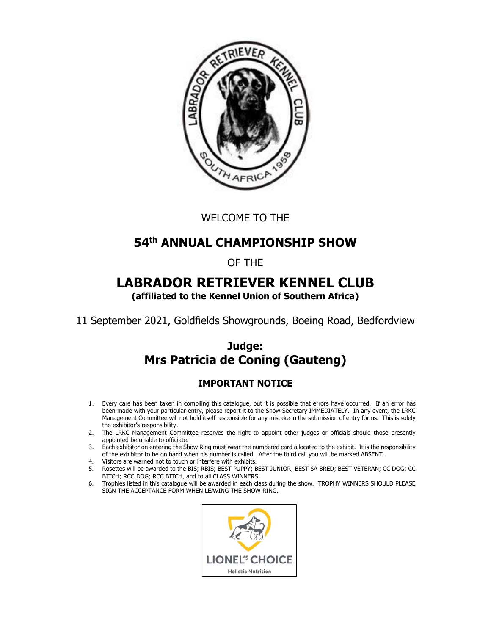

WELCOME TO THE

# **54th ANNUAL CHAMPIONSHIP SHOW**

# OF THE

# **LABRADOR RETRIEVER KENNEL CLUB**

**(affiliated to the Kennel Union of Southern Africa)** 

11 September 2021, Goldfields Showgrounds, Boeing Road, Bedfordview

# **Judge: Mrs Patricia de Coning (Gauteng)**

# **IMPORTANT NOTICE**

- 1. Every care has been taken in compiling this catalogue, but it is possible that errors have occurred. If an error has been made with your particular entry, please report it to the Show Secretary IMMEDIATELY. In any event, the LRKC Management Committee will not hold itself responsible for any mistake in the submission of entry forms. This is solely the exhibitor's responsibility.
- 2. The LRKC Management Committee reserves the right to appoint other judges or officials should those presently appointed be unable to officiate.
- 3. Each exhibitor on entering the Show Ring must wear the numbered card allocated to the exhibit. It is the responsibility of the exhibitor to be on hand when his number is called. After the third call you will be marked ABSENT.
- 4. Visitors are warned not to touch or interfere with exhibits.
- 5. Rosettes will be awarded to the BIS; RBIS; BEST PUPPY; BEST JUNIOR; BEST SA BRED; BEST VETERAN; CC DOG; CC BITCH; RCC DOG; RCC BITCH, and to all CLASS WINNERS
- 6. Trophies listed in this catalogue will be awarded in each class during the show. TROPHY WINNERS SHOULD PLEASE SIGN THE ACCEPTANCE FORM WHEN LEAVING THE SHOW RING.

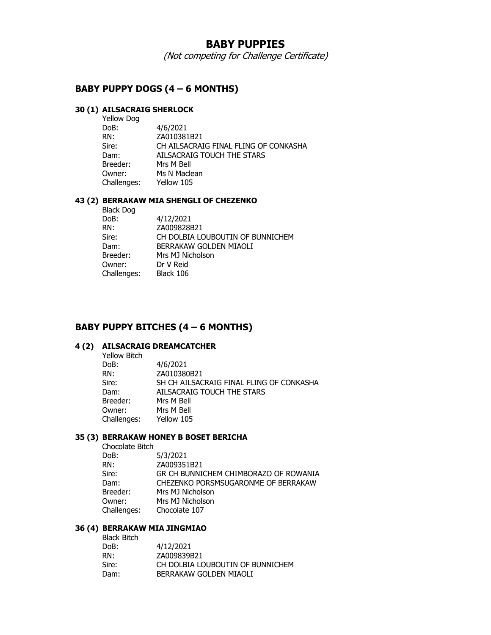## **BABY PUPPIES**

(Not competing for Challenge Certificate)

## **BABY PUPPY DOGS (4 – 6 MONTHS)**

# **30 (1) AILSACRAIG SHERLOCK**

| Yellow Dog  |                                       |
|-------------|---------------------------------------|
| DoB:        | 4/6/2021                              |
| RN:         | ZA010381B21                           |
| Sire:       | CH AILSACRAIG FINAL FLING OF CONKASHA |
| Dam:        | AILSACRAIG TOUCH THE STARS            |
| Breeder:    | Mrs M Bell                            |
| Owner:      | Ms N Maclean                          |
| Challenges: | Yellow 105                            |
|             |                                       |

#### **43 (2) BERRAKAW MIA SHENGLI OF CHEZENKO**

Black Dog

| DoB:        | 4/12/2021                        |
|-------------|----------------------------------|
| RN:         | ZA009828B21                      |
| Sire:       | CH DOLBIA LOUBOUTIN OF BUNNICHEM |
| Dam:        | BERRAKAW GOLDEN MIAOLI           |
| Breeder:    | Mrs MJ Nicholson                 |
| Owner:      | Dr V Reid                        |
| Challenges: | Black 106                        |
|             |                                  |

## **BABY PUPPY BITCHES (4 – 6 MONTHS)**

#### **4 (2) AILSACRAIG DREAMCATCHER**

| Yellow Bitch |                                          |
|--------------|------------------------------------------|
| DoB:         | 4/6/2021                                 |
| RN:          | ZA010380B21                              |
| Sire:        | SH CH AILSACRAIG FINAL FLING OF CONKASHA |
| Dam:         | AILSACRAIG TOUCH THE STARS               |
| Breeder:     | Mrs M Bell                               |
| Owner:       | Mrs M Bell                               |
| Challenges:  | Yellow 105                               |
|              |                                          |

### **35 (3) BERRAKAW HONEY B BOSET BERICHA**

Chocolate Bitch

DoB: 5/3/2021<br>RN: 2A009351 ZA009351B21 Sire: GR CH BUNNICHEM CHIMBORAZO OF ROWANIA CHEZENKO PORSMSUGARONME OF BERRAKAW Breeder: Mrs MJ Nicholson Owner: Mrs MJ Nicholson Challenges: Chocolate 107

#### **36 (4) BERRAKAW MIA JINGMIAO**

| <b>Black Bitch</b> |                                  |
|--------------------|----------------------------------|
| DoB:               | 4/12/2021                        |
| RN:                | ZA009839B21                      |
| Sire:              | CH DOLBIA LOUBOUTIN OF BUNNICHEM |
| Dam:               | BERRAKAW GOLDEN MIAOLI           |
|                    |                                  |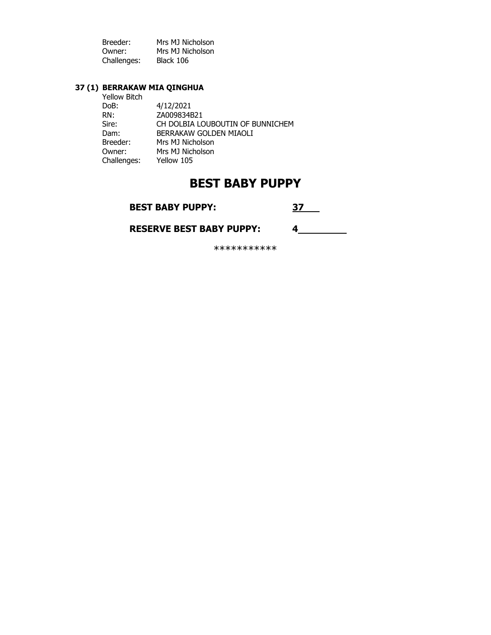| Breeder:    | Mrs MJ Nicholson |
|-------------|------------------|
| Owner:      | Mrs MJ Nicholson |
| Challenges: | Black 106        |

## **37 (1) BERRAKAW MIA QINGHUA**

| Yellow Bitch |                                  |
|--------------|----------------------------------|
| DoB:         | 4/12/2021                        |
| RN:          | ZA009834B21                      |
| Sire:        | CH DOLBIA LOUBOUTIN OF BUNNICHEM |
| Dam:         | BERRAKAW GOLDEN MIAOLI           |
| Breeder:     | Mrs MJ Nicholson                 |
| Owner:       | Mrs MJ Nicholson                 |
| Challenges:  | Yellow 105                       |
|              |                                  |

# **BEST BABY PUPPY**

**BEST BABY PUPPY:** 

 **RESERVE BEST BABY PUPPY: 4** 

\*\*\*\*\*\*\*\*\*\*\*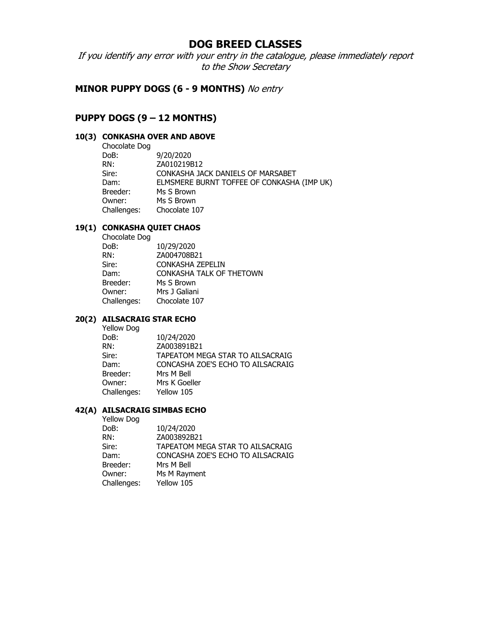# **DOG BREED CLASSES**

If you identify any error with your entry in the catalogue, please immediately report to the Show Secretary

## **MINOR PUPPY DOGS (6 - 9 MONTHS)** No entry

## **PUPPY DOGS (9 – 12 MONTHS)**

## **10(3) CONKASHA OVER AND ABOVE**

| Chocolate Dog |                                            |
|---------------|--------------------------------------------|
| DoB:          | 9/20/2020                                  |
| RN:           | ZA010219B12                                |
| Sire:         | CONKASHA JACK DANIELS OF MARSABET          |
| Dam:          | ELMSMERE BURNT TOFFEE OF CONKASHA (IMP UK) |
| Breeder:      | Ms S Brown                                 |
| Owner:        | Ms S Brown                                 |
| Challenges:   | Chocolate 107                              |
|               |                                            |

## **19(1) CONKASHA QUIET CHAOS**

| Chocolate Dog |                                 |
|---------------|---------------------------------|
| DoB:          | 10/29/2020                      |
| RN:           | ZA004708B21                     |
| Sire:         | CONKASHA ZEPELIN                |
| Dam:          | <b>CONKASHA TALK OF THETOWN</b> |
| Breeder:      | Ms S Brown                      |
| Owner:        | Mrs J Galiani                   |
| Challenges:   | Chocolate 107                   |

# **20(2) AILSACRAIG STAR ECHO**

| Yellow Dog  |                                   |
|-------------|-----------------------------------|
| DoB:        | 10/24/2020                        |
| RN:         | ZA003891B21                       |
| Sire:       | TAPEATOM MEGA STAR TO AILSACRAIG  |
| Dam:        | CONCASHA ZOE'S ECHO TO AILSACRAIG |
| Breeder:    | Mrs M Bell                        |
| Owner:      | Mrs K Goeller                     |
| Challenges: | Yellow 105                        |
|             |                                   |

#### **42(A) AILSACRAIG SIMBAS ECHO**

Yellow Dog

| .           |                                   |
|-------------|-----------------------------------|
| DoB:        | 10/24/2020                        |
| RN:         | ZA003892B21                       |
| Sire:       | TAPEATOM MEGA STAR TO AILSACRAIG  |
| Dam:        | CONCASHA ZOE'S ECHO TO AILSACRAIG |
| Breeder:    | Mrs M Bell                        |
| Owner:      | Ms M Rayment                      |
| Challenges: | Yellow 105                        |
|             |                                   |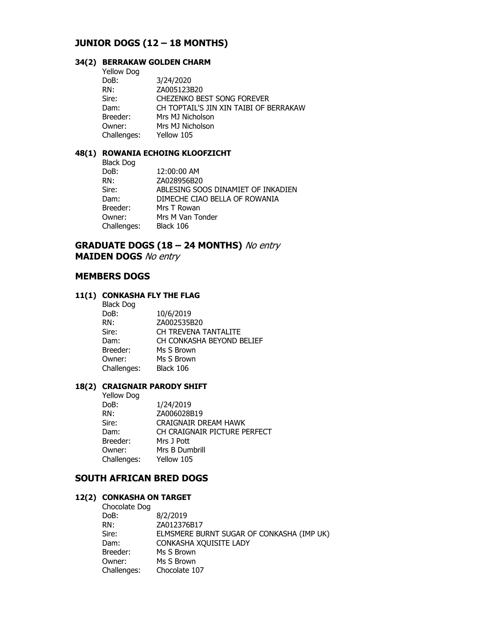## **JUNIOR DOGS (12 – 18 MONTHS)**

## **34(2) BERRAKAW GOLDEN CHARM**

| <b>Yellow Dog</b> |                                        |
|-------------------|----------------------------------------|
| DoB:              | 3/24/2020                              |
| RN:               | ZA005123B20                            |
| Sire:             | CHEZENKO BEST SONG FOREVER             |
| Dam:              | CH TOPTAIL'S JIN XIN TAIBI OF BERRAKAW |
| Breeder:          | Mrs MJ Nicholson                       |
| Owner:            | Mrs MJ Nicholson                       |
| Challenges:       | Yellow 105                             |

#### **48(1) ROWANIA ECHOING KLOOFZICHT**

| <b>Black Dog</b> |                                    |
|------------------|------------------------------------|
| DoB:             | 12:00:00 AM                        |
| RN:              | ZA028956B20                        |
| Sire:            | ABLESING SOOS DINAMIET OF INKADIEN |
| Dam:             | DIMECHE CIAO BELLA OF ROWANIA      |
| Breeder:         | Mrs T Rowan                        |
| Owner:           | Mrs M Van Tonder                   |
| Challenges:      | Black 106                          |

## **GRADUATE DOGS (18 – 24 MONTHS)** No entry **MAIDEN DOGS** No entry

## **MEMBERS DOGS**

### **11(1) CONKASHA FLY THE FLAG**

| <b>Black Dog</b> |                           |
|------------------|---------------------------|
| DoB:             | 10/6/2019                 |
| RN:              | ZA002535B20               |
| Sire:            | CH TREVENA TANTALITE      |
| Dam:             | CH CONKASHA BEYOND BELIEF |
| Breeder:         | Ms S Brown                |
| Owner:           | Ms S Brown                |
| Challenges:      | Black 106                 |
|                  |                           |

#### **18(2) CRAIGNAIR PARODY SHIFT**

| 1/24/2019                    |
|------------------------------|
| ZA006028B19                  |
| CRAIGNAIR DREAM HAWK         |
| CH CRAIGNAIR PICTURE PERFECT |
| Mrs J Pott                   |
| Mrs B Dumbrill               |
| Yellow 105                   |
|                              |

# **SOUTH AFRICAN BRED DOGS**

#### **12(2) CONKASHA ON TARGET**  Chocolate Dog

| CHUCURLE DUY |                                           |
|--------------|-------------------------------------------|
| DoB:         | 8/2/2019                                  |
| RN:          | ZA012376B17                               |
| Sire:        | ELMSMERE BURNT SUGAR OF CONKASHA (IMP UK) |
| Dam:         | CONKASHA XQUISITE LADY                    |
| Breeder:     | Ms S Brown                                |
| Owner:       | Ms S Brown                                |
| Challenges:  | Chocolate 107                             |
|              |                                           |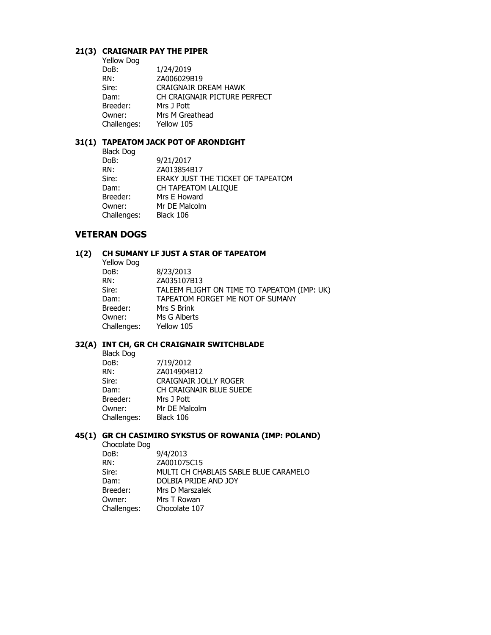#### **21(3) CRAIGNAIR PAY THE PIPER**

| Yellow Dog  |                              |
|-------------|------------------------------|
| DoB:        | 1/24/2019                    |
| RN:         | ZA006029B19                  |
| Sire:       | CRAIGNAIR DREAM HAWK         |
| Dam:        | CH CRAIGNAIR PICTURE PERFECT |
| Breeder:    | Mrs J Pott                   |
| Owner:      | Mrs M Greathead              |
| Challenges: | Yellow 105                   |
|             |                              |

#### **31(1) TAPEATOM JACK POT OF ARONDIGHT**

| <b>Black Dog</b> |                                   |
|------------------|-----------------------------------|
| DoB:             | 9/21/2017                         |
| RN:              | ZA013854B17                       |
| Sire:            | ERAKY JUST THE TICKET OF TAPEATOM |
| Dam:             | CH TAPEATOM LALIQUE               |
| Breeder:         | Mrs E Howard                      |
| Owner:           | Mr DE Malcolm                     |
| Challenges:      | Black 106                         |
|                  |                                   |

## **VETERAN DOGS**

# **1(2) CH SUMANY LF JUST A STAR OF TAPEATOM**

| <b>Yellow Dog</b>                                    |  |
|------------------------------------------------------|--|
| 8/23/2013<br>DoB:                                    |  |
| ZA035107B13<br>RN:                                   |  |
| TALEEM FLIGHT ON TIME TO TAPEATOM (IMP: UK)<br>Sire: |  |
| TAPEATOM FORGET ME NOT OF SUMANY<br>Dam:             |  |
| Breeder:<br>Mrs S Brink                              |  |
| Ms G Alberts<br>Owner:                               |  |
| Challenges:<br>Yellow 105                            |  |

#### **32(A) INT CH, GR CH CRAIGNAIR SWITCHBLADE**

| <b>Black Dog</b> |                              |
|------------------|------------------------------|
| DoB:             | 7/19/2012                    |
| RN:              | ZA014904B12                  |
| Sire:            | <b>CRAIGNAIR JOLLY ROGER</b> |
| Dam:             | CH CRAIGNAIR BLUE SUEDE      |
| Breeder:         | Mrs J Pott                   |
| Owner:           | Mr DE Malcolm                |
| Challenges:      | Black 106                    |
|                  |                              |

## **45(1) GR CH CASIMIRO SYKSTUS OF ROWANIA (IMP: POLAND)**

 Chocolate Dog DoB: 9/4/2013<br>RN: ZA001075 ZA001075C15 Sire: MULTI CH CHABLAIS SABLE BLUE CARAMELO Dam: DOLBIA PRIDE AND JOY Breeder: Mrs D Marszalek Owner: Mrs T Rowan Challenges: Chocolate 107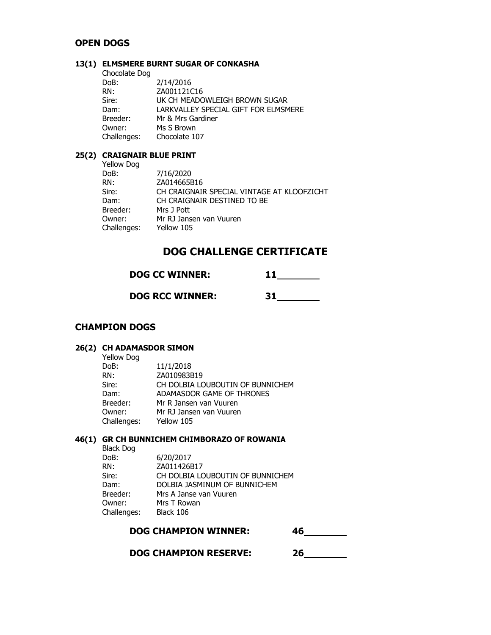## **OPEN DOGS**

### **13(1) ELMSMERE BURNT SUGAR OF CONKASHA**

| 2/14/2016                            |
|--------------------------------------|
| ZA001121C16                          |
| UK CH MEADOWLEIGH BROWN SUGAR        |
| LARKVALLEY SPECIAL GIFT FOR ELMSMERE |
| Mr & Mrs Gardiner                    |
| Ms S Brown                           |
| Chocolate 107                        |
|                                      |

## **25(2) CRAIGNAIR BLUE PRINT**

| Yellow Dog  |                                            |
|-------------|--------------------------------------------|
| DoB:        | 7/16/2020                                  |
| RN:         | ZA014665B16                                |
| Sire:       | CH CRAIGNAIR SPECIAL VINTAGE AT KLOOFZICHT |
| Dam:        | CH CRAIGNAIR DESTINED TO BE                |
| Breeder:    | Mrs J Pott                                 |
| Owner:      | Mr RJ Jansen van Vuuren                    |
| Challenges: | Yellow 105                                 |

# **DOG CHALLENGE CERTIFICATE**

 **DOG RCC WINNER: 31** 

## **CHAMPION DOGS**

### **26(2) CH ADAMASDOR SIMON**

| <b>Yellow Dog</b> |                                  |
|-------------------|----------------------------------|
| DoB:              | 11/1/2018                        |
| RN:               | ZA010983B19                      |
| Sire:             | CH DOLBIA LOUBOUTIN OF BUNNICHEM |
| Dam:              | ADAMASDOR GAME OF THRONES        |
| Breeder:          | Mr R Jansen van Vuuren           |
| Owner:            | Mr RJ Jansen van Vuuren          |
| Challenges:       | Yellow 105                       |
|                   |                                  |

## **46(1) GR CH BUNNICHEM CHIMBORAZO OF ROWANIA**

| <b>Black Dog</b> |                                  |
|------------------|----------------------------------|
| DoB:             | 6/20/2017                        |
| RN:              | ZA011426B17                      |
| Sire:            | CH DOLBIA LOUBOUTIN OF BUNNICHEM |
| Dam:             | DOLBIA JASMINUM OF BUNNICHEM     |
| Breeder:         | Mrs A Janse van Vuuren           |
| Owner:           | Mrs T Rowan                      |
| Challenges:      | Black 106                        |
|                  |                                  |

| <b>DOG CHAMPION WINNER:</b> |  |
|-----------------------------|--|
|                             |  |

 **DOG CHAMPION RESERVE: 26**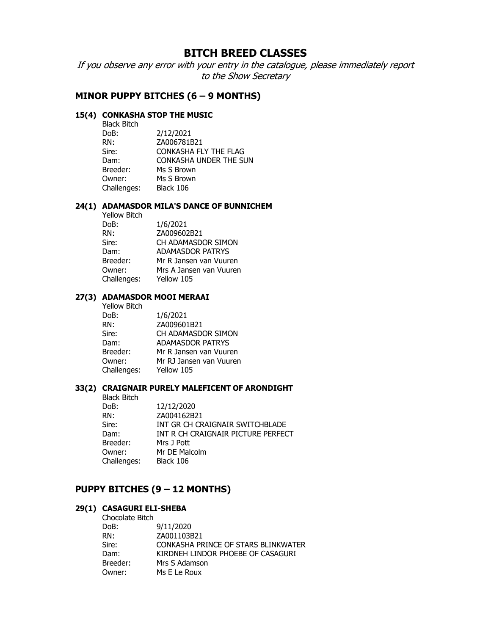# **BITCH BREED CLASSES**

If you observe any error with your entry in the catalogue, please immediately report to the Show Secretary

## **MINOR PUPPY BITCHES (6 – 9 MONTHS)**

### **15(4) CONKASHA STOP THE MUSIC**

| <b>Black Bitch</b> |                        |
|--------------------|------------------------|
| DoB:               | 2/12/2021              |
| RN:                | ZA006781B21            |
| Sire:              | CONKASHA FLY THE FLAG  |
| Dam:               | CONKASHA UNDER THE SUN |
| Breeder:           | Ms S Brown             |
| Owner:             | Ms S Brown             |
| Challenges:        | Black 106              |
|                    |                        |

#### **24(1) ADAMASDOR MILA'S DANCE OF BUNNICHEM**

| 1/6/2021                |
|-------------------------|
| ZA009602B21             |
| CH ADAMASDOR SIMON      |
| <b>ADAMASDOR PATRYS</b> |
| Mr R Jansen van Vuuren  |
| Mrs A Jansen van Vuuren |
| Yellow 105              |
|                         |

#### **27(3) ADAMASDOR MOOI MERAAI**

| 1/6/2021                |
|-------------------------|
| ZA009601B21             |
| CH ADAMASDOR SIMON      |
| <b>ADAMASDOR PATRYS</b> |
| Mr R Jansen van Vuuren  |
| Mr RJ Jansen van Vuuren |
| Yellow 105              |
|                         |

### **33(2) CRAIGNAIR PURELY MALEFICENT OF ARONDIGHT**

|  | <b>Black Bitch</b> |                                    |
|--|--------------------|------------------------------------|
|  | DoB:               | 12/12/2020                         |
|  | RN:                | ZA004162B21                        |
|  | Sire:              | INT GR CH CRAIGNAIR SWITCHBLADE    |
|  | Dam:               | INT R CH CRAIGNAIR PICTURE PERFECT |
|  | Breeder:           | Mrs J Pott                         |
|  | Owner:             | Mr DE Malcolm                      |
|  | Challenges:        | Black 106                          |
|  |                    |                                    |

## **PUPPY BITCHES (9 – 12 MONTHS)**

#### **29(1) CASAGURI ELI-SHEBA**

| Chocolate Bitch |                                     |
|-----------------|-------------------------------------|
| DoB:            | 9/11/2020                           |
| RN:             | ZA001103B21                         |
| Sire:           | CONKASHA PRINCE OF STARS BLINKWATER |
| Dam:            | KIRDNEH LINDOR PHOEBE OF CASAGURI   |
| Breeder:        | Mrs S Adamson                       |
| Owner:          | Ms E Le Roux                        |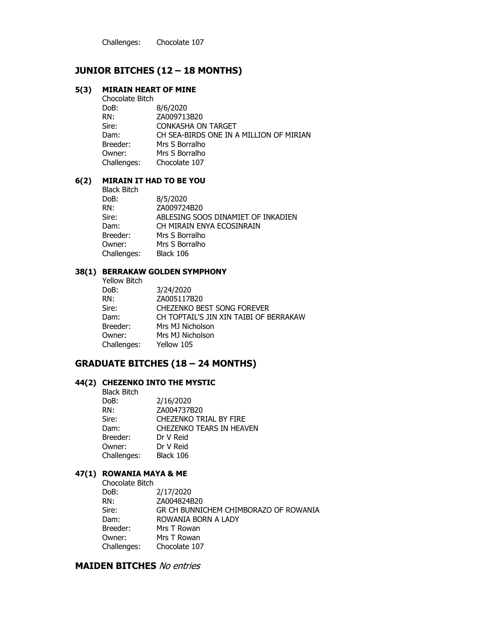Challenges: Chocolate 107

## **JUNIOR BITCHES (12 – 18 MONTHS)**

#### **5(3) MIRAIN HEART OF MINE**

 Chocolate Bitch DoB: 8/6/2020 RN: ZA009713B20 Sire: **CONKASHA ON TARGET**  Dam: CH SEA-BIRDS ONE IN A MILLION OF MIRIAN Breeder: Mrs S Borralho Owner: Mrs S Borralho Challenges: Chocolate 107

#### **6(2) MIRAIN IT HAD TO BE YOU**

 Black Bitch DoB: 8/5/2020 RN: ZA009724B20 Sire: ABLESING SOOS DINAMIET OF INKADIEN Dam: CH MIRAIN ENYA ECOSINRAIN Breeder: Mrs S Borralho Owner: Mrs S Borralho Challenges: Black 106

#### **38(1) BERRAKAW GOLDEN SYMPHONY**

| 3/24/2020                              |
|----------------------------------------|
| ZA005117B20                            |
| <b>CHEZENKO BEST SONG FOREVER</b>      |
| CH TOPTAIL'S JIN XIN TAIBI OF BERRAKAW |
| Mrs MJ Nicholson                       |
| Mrs MJ Nicholson                       |
| Yellow 105                             |
|                                        |

### **GRADUATE BITCHES (18 – 24 MONTHS)**

#### **44(2) CHEZENKO INTO THE MYSTIC**

Black Bitch<br>DoB: DoB: 2/16/2020 RN: ZA004737B20 Sire: CHEZENKO TRIAL BY FIRE Dam: CHEZENKO TEARS IN HEAVEN Breeder: Dr V Reid Owner: Dr V Reid Challenges: Black 106

#### **47(1) ROWANIA MAYA & ME**

 Chocolate Bitch DoB: 2/17/2020 RN: ZA004824B20 Sire: GR CH BUNNICHEM CHIMBORAZO OF ROWANIA Dam: ROWANIA BORN A LADY Breeder: Mrs T Rowan Owner: Mrs T Rowan Challenges: Chocolate 107

## **MAIDEN BITCHES** No entries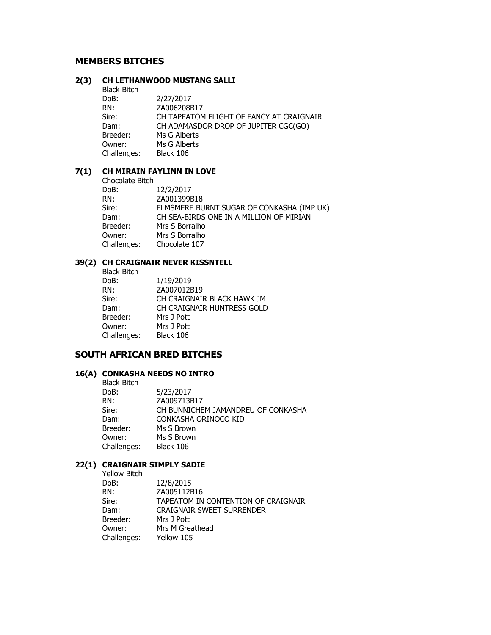### **MEMBERS BITCHES**

#### **2(3) CH LETHANWOOD MUSTANG SALLI**

Black Bitch<br>DoB: DoB: 2/27/2017 RN: ZA006208B17 Sire: CH TAPEATOM FLIGHT OF FANCY AT CRAIGNAIR Dam: CH ADAMASDOR DROP OF JUPITER CGC(GO) Breeder: Ms G Alberts Owner: Ms G Alberts Challenges: Black 106

### **7(1) CH MIRAIN FAYLINN IN LOVE**

Chocolate Bitch<br>DoB: DoB: 12/2/2017<br>RN: 2A0013998 ZA001399B18 Sire: ELMSMERE BURNT SUGAR OF CONKASHA (IMP UK) Dam: CH SEA-BIRDS ONE IN A MILLION OF MIRIAN Breeder: Mrs S Borralho Owner: Mrs S Borralho Challenges: Chocolate 107

#### **39(2) CH CRAIGNAIR NEVER KISSNTELL**

 Black Bitch DoB: 1/19/2019 RN: ZA007012B19 Sire: CH CRAIGNAIR BLACK HAWK JM Dam: CH CRAIGNAIR HUNTRESS GOLD Breeder: Mrs J Pott Owner: Mrs J Pott Challenges: Black 106

## **SOUTH AFRICAN BRED BITCHES**

#### **16(A) CONKASHA NEEDS NO INTRO**

| <b>Black Bitch</b> |                                    |
|--------------------|------------------------------------|
| DoB:               | 5/23/2017                          |
| RN:                | ZA009713B17                        |
| Sire:              | CH BUNNICHEM JAMANDREU OF CONKASHA |
| Dam:               | CONKASHA ORINOCO KID               |
| Breeder:           | Ms S Brown                         |
| Owner:             | Ms S Brown                         |
| Challenges:        | Black 106                          |

#### **22(1) CRAIGNAIR SIMPLY SADIE**

Yellow Bitch

 DoB: 12/8/2015 RN: ZA005112B16 Sire: TAPEATOM IN CONTENTION OF CRAIGNAIR Dam: CRAIGNAIR SWEET SURRENDER Breeder: Mrs J Pott Owner: Mrs M Greathead Challenges: Yellow 105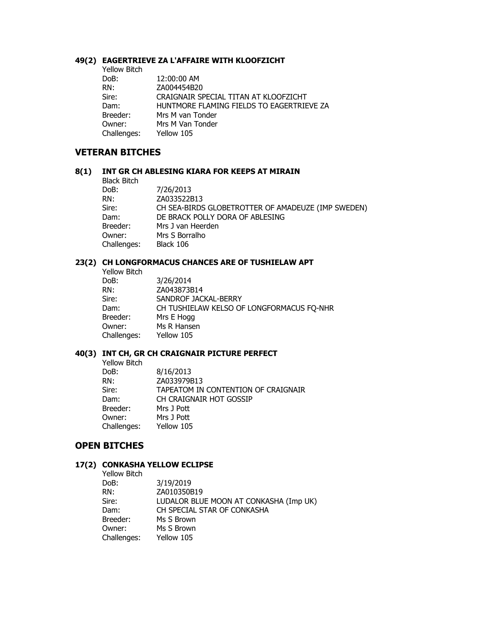#### **49(2) EAGERTRIEVE ZA L'AFFAIRE WITH KLOOFZICHT**

| <b>Yellow Bitch</b> |                                           |
|---------------------|-------------------------------------------|
| DoB:                | 12:00:00 AM                               |
| RN:                 | ZA004454B20                               |
| Sire:               | CRAIGNAIR SPECIAL TITAN AT KLOOFZICHT     |
| Dam:                | HUNTMORE FLAMING FIELDS TO EAGERTRIEVE ZA |
| Breeder:            | Mrs M van Tonder                          |
| Owner:              | Mrs M Van Tonder                          |
| Challenges:         | Yellow 105                                |

#### **VETERAN BITCHES**

#### **8(1) INT GR CH ABLESING KIARA FOR KEEPS AT MIRAIN**

Black Bitch<br>DoB:

DoB: 7/26/2013<br>RN: ZA033522E ZA033522B13 Sire: CH SEA-BIRDS GLOBETROTTER OF AMADEUZE (IMP SWEDEN) Dam: DE BRACK POLLY DORA OF ABLESING Breeder: Mrs J van Heerden Owner: Mrs S Borralho Challenges: Black 106

#### **23(2) CH LONGFORMACUS CHANCES ARE OF TUSHIELAW APT**

 Yellow Bitch DoB: 3/26/2014 RN: ZA043873B14 Sire: SANDROF JACKAL-BERRY Dam: CH TUSHIELAW KELSO OF LONGFORMACUS FQ-NHR Breeder: Mrs E Hogg Owner: Ms R Hansen<br>Challenges: Yellow 105 Challenges:

#### **40(3) INT CH, GR CH CRAIGNAIR PICTURE PERFECT**

 Yellow Bitch DoB: 8/16/2013 RN: ZA033979B13 Sire: TAPEATOM IN CONTENTION OF CRAIGNAIR Dam: CH CRAIGNAIR HOT GOSSIP Breeder: Mrs J Pott Owner: Mrs J Pott Challenges: Yellow 105

## **OPEN BITCHES**

#### **17(2) CONKASHA YELLOW ECLIPSE**

 Yellow Bitch DoB: 3/19/2019 RN: ZA010350B19 Sire: LUDALOR BLUE MOON AT CONKASHA (Imp UK) Dam: CH SPECIAL STAR OF CONKASHA Breeder: Ms S Brown Owner: Ms S Brown Challenges: Yellow 105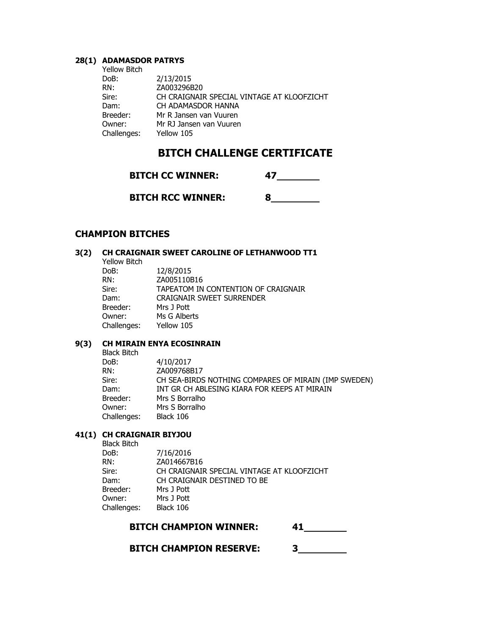#### **28(1) ADAMASDOR PATRYS**

| <b>Yellow Bitch</b> |                                            |
|---------------------|--------------------------------------------|
| DoB:                | 2/13/2015                                  |
| RN:                 | ZA003296B20                                |
| Sire:               | CH CRAIGNAIR SPECIAL VINTAGE AT KLOOFZICHT |
| Dam:                | CH ADAMASDOR HANNA                         |
| Breeder:            | Mr R Jansen van Vuuren                     |
| Owner:              | Mr RJ Jansen van Vuuren                    |
| Challenges:         | Yellow 105                                 |

# **BITCH CHALLENGE CERTIFICATE**

| <b>BITCH CC WINNER:</b> |  |
|-------------------------|--|
|                         |  |

 **BITCH RCC WINNER: 8** 

## **CHAMPION BITCHES**

### **3(2) CH CRAIGNAIR SWEET CAROLINE OF LETHANWOOD TT1**

| <b>Yellow Bitch</b> |                                     |
|---------------------|-------------------------------------|
| DoB:                | 12/8/2015                           |
| RN:                 | ZA005110B16                         |
| Sire:               | TAPEATOM IN CONTENTION OF CRAIGNAIR |
| Dam:                | <b>CRAIGNAIR SWEET SURRENDER</b>    |
| Breeder:            | Mrs J Pott                          |
| Owner:              | Ms G Alberts                        |
| Challenges:         | Yellow 105                          |
|                     |                                     |

#### **9(3) CH MIRAIN ENYA ECOSINRAIN**

Black Bitch<br>DoB: DoB: 4/10/2017 RN: ZA009768B17 Sire: CH SEA-BIRDS NOTHING COMPARES OF MIRAIN (IMP SWEDEN) Dam: INT GR CH ABLESING KIARA FOR KEEPS AT MIRAIN Breeder: Mrs S Borralho<br>
Owner: Mrs S Borralho Mrs S Borralho<br>Black 106 Challenges:

## **41(1) CH CRAIGNAIR BIYJOU**

| <b>Black Bitch</b> |                                            |
|--------------------|--------------------------------------------|
| DoB:               | 7/16/2016                                  |
| RN:                | ZA014667B16                                |
| Sire:              | CH CRAIGNAIR SPECIAL VINTAGE AT KLOOFZICHT |
| Dam:               | CH CRAIGNAIR DESTINED TO BE                |
| Breeder:           | Mrs J Pott                                 |
| Owner:             | Mrs J Pott                                 |
| Challenges:        | Black 106                                  |

 **BITCH CHAMPION RESERVE: 3**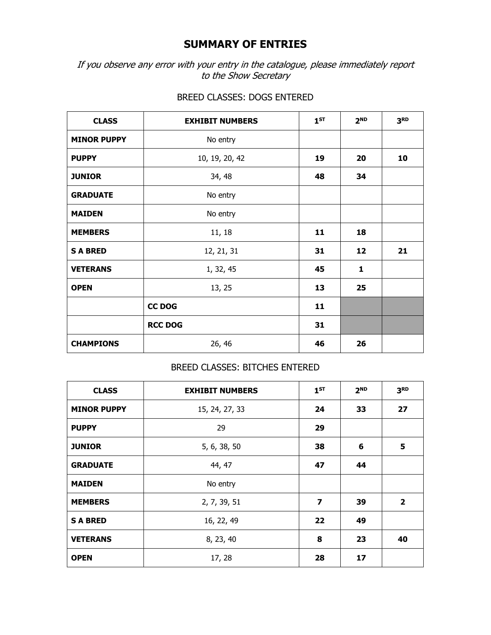# **SUMMARY OF ENTRIES**

If you observe any error with your entry in the catalogue, please immediately report to the Show Secretary

| <b>CLASS</b>       | <b>EXHIBIT NUMBERS</b> | $1^{ST}$ | 2 <sub>ND</sub> | 3 <sub>RD</sub> |
|--------------------|------------------------|----------|-----------------|-----------------|
| <b>MINOR PUPPY</b> | No entry               |          |                 |                 |
| <b>PUPPY</b>       | 10, 19, 20, 42         | 19       | 20              | 10              |
| <b>JUNIOR</b>      | 34, 48                 | 48       | 34              |                 |
| <b>GRADUATE</b>    | No entry               |          |                 |                 |
| <b>MAIDEN</b>      | No entry               |          |                 |                 |
| <b>MEMBERS</b>     | 11, 18                 | 11       | 18              |                 |
| <b>SABRED</b>      | 12, 21, 31             | 31       | 12              | 21              |
| <b>VETERANS</b>    | 1, 32, 45              | 45       | $\mathbf{1}$    |                 |
| <b>OPEN</b>        | 13, 25                 | 13       | 25              |                 |
|                    | CC DOG                 | 11       |                 |                 |
|                    | <b>RCC DOG</b>         | 31       |                 |                 |
| <b>CHAMPIONS</b>   | 26, 46                 | 46       | 26              |                 |

## BREED CLASSES: DOGS ENTERED

## BREED CLASSES: BITCHES ENTERED

| <b>CLASS</b>       | <b>EXHIBIT NUMBERS</b> | 1 <sub>ST</sub>         | 2 <sub>ND</sub> | 3 <sub>RD</sub> |
|--------------------|------------------------|-------------------------|-----------------|-----------------|
| <b>MINOR PUPPY</b> | 15, 24, 27, 33         | 24                      | 33              | 27              |
| <b>PUPPY</b>       | 29                     | 29                      |                 |                 |
| <b>JUNIOR</b>      | 5, 6, 38, 50           | 38                      | 6               | 5               |
| <b>GRADUATE</b>    | 44, 47                 | 47                      | 44              |                 |
| <b>MAIDEN</b>      | No entry               |                         |                 |                 |
| <b>MEMBERS</b>     | 2, 7, 39, 51           | $\overline{\mathbf{z}}$ | 39              | $\overline{2}$  |
| <b>SABRED</b>      | 16, 22, 49             | 22                      | 49              |                 |
| <b>VETERANS</b>    | 8, 23, 40              | 8                       | 23              | 40              |
| <b>OPEN</b>        | 17, 28                 | 28                      | 17              |                 |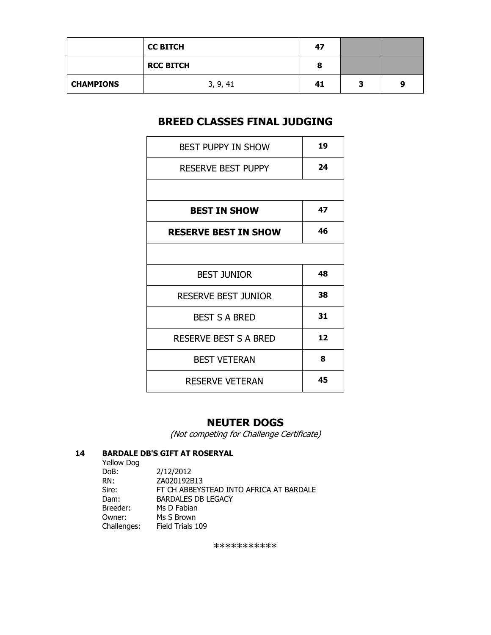|                  | <b>CC BITCH</b>  | 47 |   |   |
|------------------|------------------|----|---|---|
|                  | <b>RCC BITCH</b> | o  |   |   |
| <b>CHAMPIONS</b> | 3, 9, 41         | 41 | з | q |

# **BREED CLASSES FINAL JUDGING**

| <b>BEST PUPPY IN SHOW</b>    | 19 |
|------------------------------|----|
| <b>RESERVE BEST PUPPY</b>    | 24 |
|                              |    |
| <b>BEST IN SHOW</b>          | 47 |
| <b>RESERVE BEST IN SHOW</b>  | 46 |
|                              |    |
| <b>BEST JUNIOR</b>           | 48 |
| <b>RESERVE BEST JUNIOR</b>   | 38 |
| <b>BEST S A BRED</b>         | 31 |
| <b>RESERVE BEST S A BRED</b> | 12 |
| <b>BEST VETERAN</b>          | 8  |
| <b>RESERVE VETERAN</b>       | 45 |

## **NEUTER DOGS**

(Not competing for Challenge Certificate)

### **14 BARDALE DB'S GIFT AT ROSERYAL**

 Yellow Dog DoB: 2/12/2012<br>RN: ZA020192B RN: ZA020192B13<br>Sire: FT CH ABBEYS Sire: FT CH ABBEYSTEAD INTO AFRICA AT BARDALE<br>Dam: BARDALES DB LEGACY BARDALES DB LEGACY Breeder: Ms D Fabian Owner: Ms S Brown<br>Challenges: Field Trials 109 Challenges:

\*\*\*\*\*\*\*\*\*\*\*